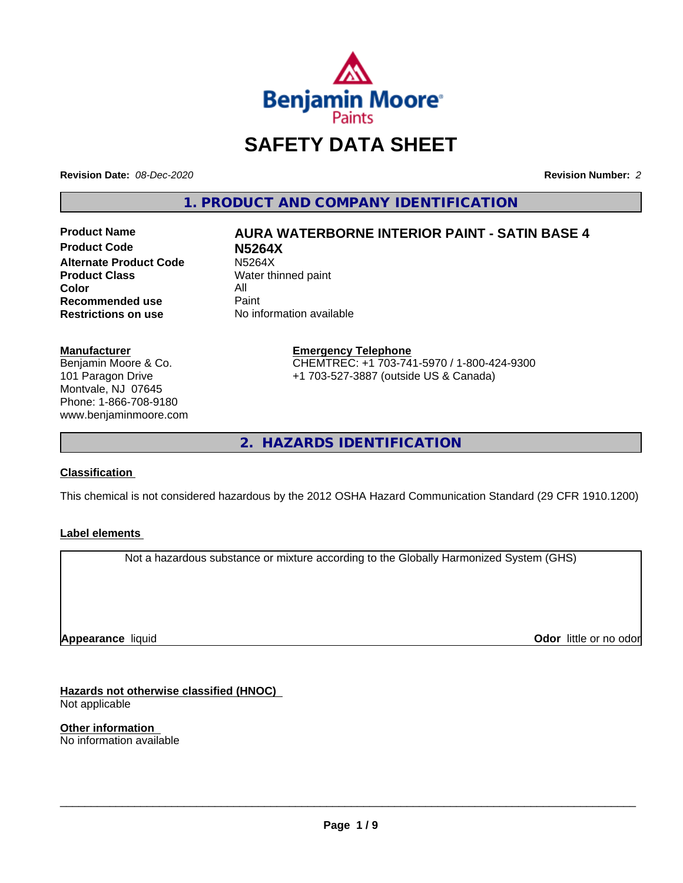

## **SAFETY DATA SHEET**

**Revision Date:** *08-Dec-2020* **Revision Number:** *2*

**1. PRODUCT AND COMPANY IDENTIFICATION**

**Product Code N5264X Alternate Product Code M5264X**<br> **Product Class Mater th** Water th **Color** All<br> **Recommended use** Paint **Recommended use**<br>Restrictions on use

# **Product Name AURA WATERBORNE INTERIOR PAINT - SATIN BASE 4**

**Water thinned paint No information available** 

#### **Manufacturer**

Benjamin Moore & Co. 101 Paragon Drive Montvale, NJ 07645 Phone: 1-866-708-9180 www.benjaminmoore.com

#### **Emergency Telephone** CHEMTREC: +1 703-741-5970 / 1-800-424-9300 +1 703-527-3887 (outside US & Canada)

**2. HAZARDS IDENTIFICATION**

#### **Classification**

This chemical is not considered hazardous by the 2012 OSHA Hazard Communication Standard (29 CFR 1910.1200)

#### **Label elements**

Not a hazardous substance or mixture according to the Globally Harmonized System (GHS)

**Appearance** liquid

**Odor** little or no odor

**Hazards not otherwise classified (HNOC)** Not applicable

**Other information** No information available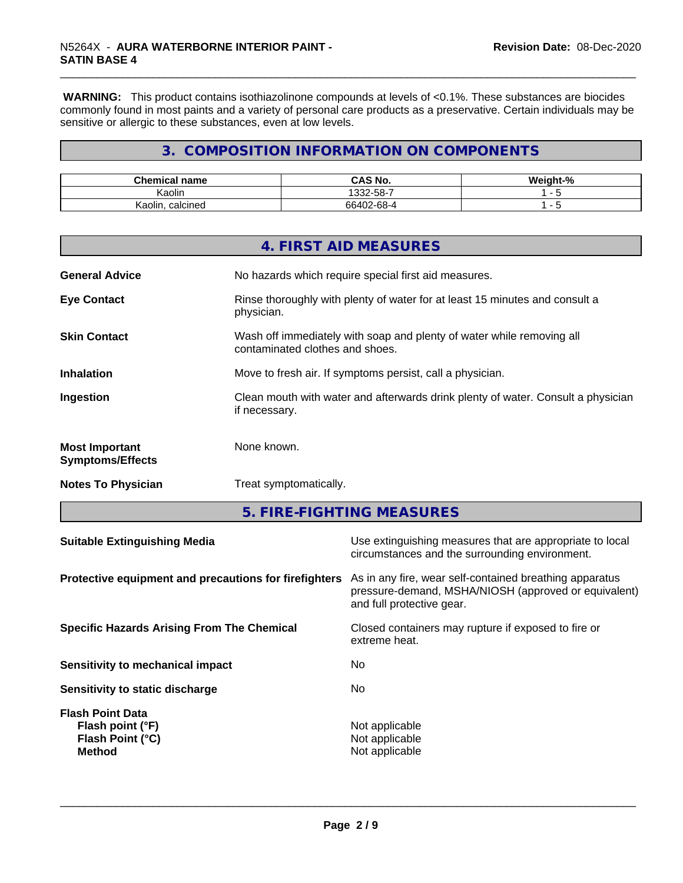**WARNING:** This product contains isothiazolinone compounds at levels of <0.1%. These substances are biocides commonly found in most paints and a variety of personal care products as a preservative. Certain individuals may be sensitive or allergic to these substances, even at low levels.

## **3. COMPOSITION INFORMATION ON COMPONENTS**

| Chemical<br>name     | <b>CAS No.</b>              | <br>…elar.<br>- 70 |
|----------------------|-----------------------------|--------------------|
| . .<br>. .<br>Kaolin | ა32-58-7<br>$\sim$          |                    |
| calcined<br>Kaolin   | – 68-4- ن<br>0.0000<br>6640 |                    |

|                                                  | 4. FIRST AID MEASURES                                                                                    |
|--------------------------------------------------|----------------------------------------------------------------------------------------------------------|
| <b>General Advice</b>                            | No hazards which require special first aid measures.                                                     |
| <b>Eye Contact</b>                               | Rinse thoroughly with plenty of water for at least 15 minutes and consult a<br>physician.                |
| <b>Skin Contact</b>                              | Wash off immediately with soap and plenty of water while removing all<br>contaminated clothes and shoes. |
| <b>Inhalation</b>                                | Move to fresh air. If symptoms persist, call a physician.                                                |
| Ingestion                                        | Clean mouth with water and afterwards drink plenty of water. Consult a physician<br>if necessary.        |
| <b>Most Important</b><br><b>Symptoms/Effects</b> | None known.                                                                                              |
| <b>Notes To Physician</b>                        | Treat symptomatically.                                                                                   |

**5. FIRE-FIGHTING MEASURES**

| Protective equipment and precautions for firefighters<br>As in any fire, wear self-contained breathing apparatus<br>pressure-demand, MSHA/NIOSH (approved or equivalent) |  |
|--------------------------------------------------------------------------------------------------------------------------------------------------------------------------|--|
| and full protective gear.                                                                                                                                                |  |
| Closed containers may rupture if exposed to fire or<br><b>Specific Hazards Arising From The Chemical</b><br>extreme heat.                                                |  |
| No.<br>Sensitivity to mechanical impact                                                                                                                                  |  |
| No.<br>Sensitivity to static discharge                                                                                                                                   |  |
| <b>Flash Point Data</b><br>Not applicable<br>Flash point (°F)<br>Flash Point (°C)<br>Not applicable<br>Not applicable<br><b>Method</b>                                   |  |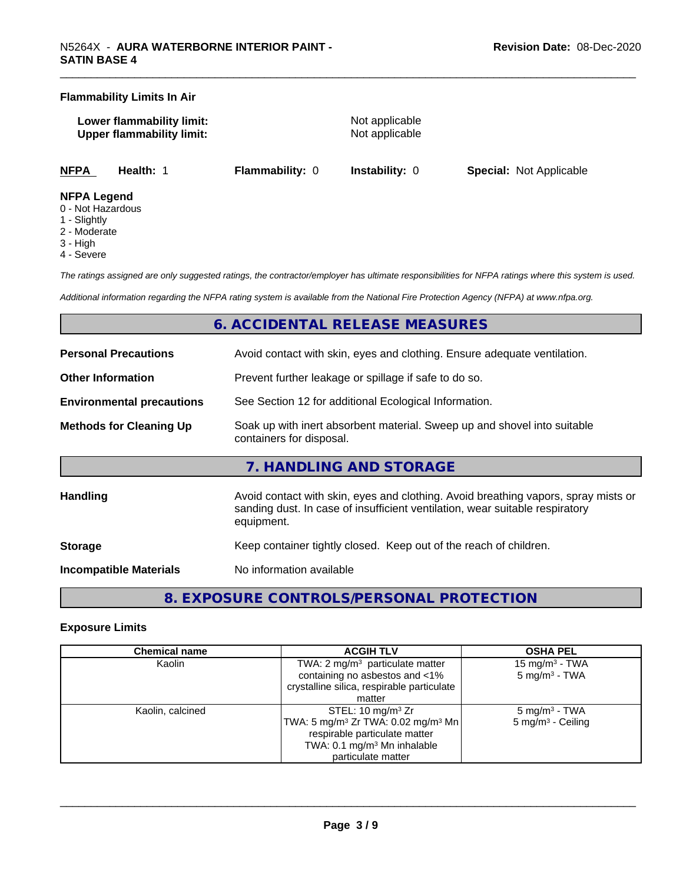#### **Flammability Limits In Air**

**Lower flammability limit:** Not applicable **Upper flammability limit:** Not applicable

**NFPA Health:** 1 **Flammability:** 0 **Instability:** 0 **Special:** Not Applicable

#### **NFPA Legend**

- 0 Not Hazardous
- 1 Slightly
- 2 Moderate
- 3 High
- 4 Severe

*The ratings assigned are only suggested ratings, the contractor/employer has ultimate responsibilities for NFPA ratings where this system is used.*

*Additional information regarding the NFPA rating system is available from the National Fire Protection Agency (NFPA) at www.nfpa.org.*

## **6. ACCIDENTAL RELEASE MEASURES**

| <b>Personal Precautions</b>      | Avoid contact with skin, eyes and clothing. Ensure adequate ventilation.                                                                                                         |  |
|----------------------------------|----------------------------------------------------------------------------------------------------------------------------------------------------------------------------------|--|
| <b>Other Information</b>         | Prevent further leakage or spillage if safe to do so.                                                                                                                            |  |
| <b>Environmental precautions</b> | See Section 12 for additional Ecological Information.                                                                                                                            |  |
| <b>Methods for Cleaning Up</b>   | Soak up with inert absorbent material. Sweep up and shovel into suitable<br>containers for disposal.                                                                             |  |
|                                  | 7. HANDLING AND STORAGE                                                                                                                                                          |  |
| <b>Handling</b>                  | Avoid contact with skin, eyes and clothing. Avoid breathing vapors, spray mists or<br>sanding dust. In case of insufficient ventilation, wear suitable respiratory<br>equipment. |  |
| <b>Storage</b>                   | Keep container tightly closed. Keep out of the reach of children.                                                                                                                |  |
| <b>Incompatible Materials</b>    | No information available                                                                                                                                                         |  |
|                                  |                                                                                                                                                                                  |  |

## **8. EXPOSURE CONTROLS/PERSONAL PROTECTION**

#### **Exposure Limits**

| <b>Chemical name</b> | <b>ACGIH TLV</b>                                           | <b>OSHA PEL</b>              |
|----------------------|------------------------------------------------------------|------------------------------|
| Kaolin               | TWA: $2 \text{ mg/m}^3$ particulate matter                 | 15 mg/m <sup>3</sup> - TWA   |
|                      | containing no asbestos and <1%                             | 5 mg/m <sup>3</sup> - TWA    |
|                      | crystalline silica, respirable particulate                 |                              |
|                      | matter                                                     |                              |
| Kaolin, calcined     | STEL: 10 mg/m $3$ Zr                                       | $5 \text{ mg/m}^3$ - TWA     |
|                      | TWA: 5 mg/m <sup>3</sup> Zr TWA: 0.02 mg/m <sup>3</sup> Mn | $5 \text{ mg/m}^3$ - Ceiling |
|                      | respirable particulate matter                              |                              |
|                      | TWA: 0.1 mg/m <sup>3</sup> Mn inhalable                    |                              |
|                      | particulate matter                                         |                              |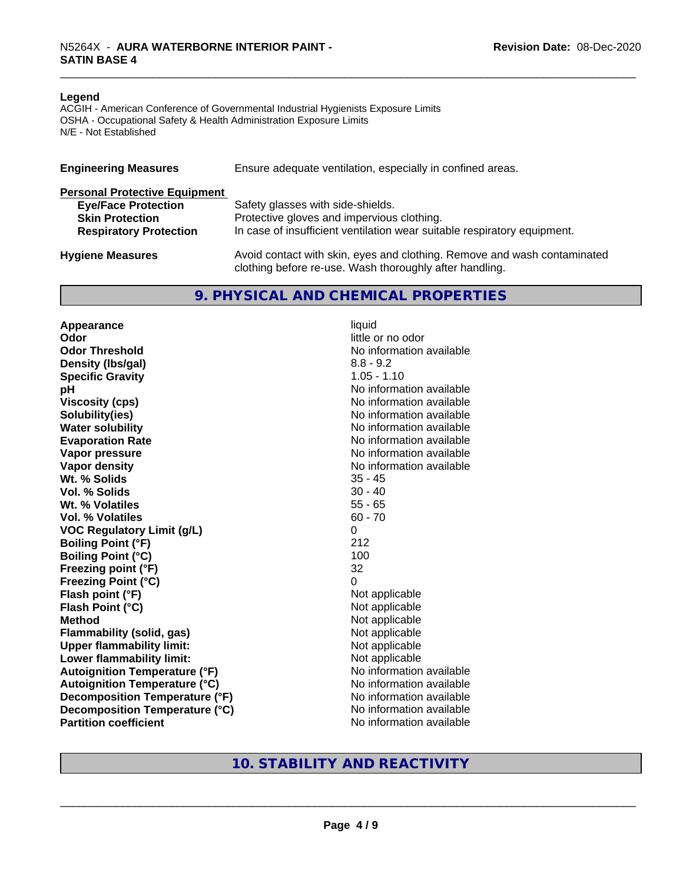#### **Legend**

ACGIH - American Conference of Governmental Industrial Hygienists Exposure Limits OSHA - Occupational Safety & Health Administration Exposure Limits N/E - Not Established

| <b>Engineering Measures</b>          | Ensure adequate ventilation, especially in confined areas.                                                                          |  |  |
|--------------------------------------|-------------------------------------------------------------------------------------------------------------------------------------|--|--|
| <b>Personal Protective Equipment</b> |                                                                                                                                     |  |  |
| <b>Eye/Face Protection</b>           | Safety glasses with side-shields.                                                                                                   |  |  |
| <b>Skin Protection</b>               | Protective gloves and impervious clothing.                                                                                          |  |  |
| <b>Respiratory Protection</b>        | In case of insufficient ventilation wear suitable respiratory equipment.                                                            |  |  |
| <b>Hygiene Measures</b>              | Avoid contact with skin, eyes and clothing. Remove and wash contaminated<br>clothing before re-use. Wash thoroughly after handling. |  |  |

#### **9. PHYSICAL AND CHEMICAL PROPERTIES**

**Appearance** liquid **Odor** little or no odor **Odor Threshold No information available No information available Density (lbs/gal)** 8.8 - 9.2<br> **Specific Gravity** 8.8 - 1.10 **Specific Gravity pH pH**  $\blacksquare$ **Viscosity (cps)** No information available **Solubility(ies)** No information available **Water solubility** No information available **Evaporation Rate No information available No information available Vapor pressure** No information available **No information available Vapor density**<br> **We Solids**<br>
We Solids
25 - 45 Wt. % Solids **Vol. % Solids** 30 - 40 **Wt. % Volatiles** 55 - 65 **Vol. % Volatiles VOC Regulatory Limit (g/L)** 0 **Boiling Point (°F)** 212 **Boiling Point (°C)** 100 **Freezing point (°F)** 32 **Freezing Point (°C)** 0 **Flash point (°F)**<br> **Flash Point (°C)**<br> **Flash Point (°C)**<br> **Not** applicable<br>
Not applicable **Flash Point (°C)**<br>Method **Flammability (solid, gas)**<br> **Upper flammability limit:**<br>
Upper flammability limit: **Upper flammability limit:**<br> **Lower flammability limit:**<br>
Not applicable<br>
Not applicable **Lower flammability limit: Autoignition Temperature (°F)** No information available **Autoignition Temperature (°C)** No information available **Decomposition Temperature (°F)** No information available **Decomposition Temperature (°C)** No information available **Partition coefficient** No information available

**Not applicable**<br>Not applicable

## **10. STABILITY AND REACTIVITY**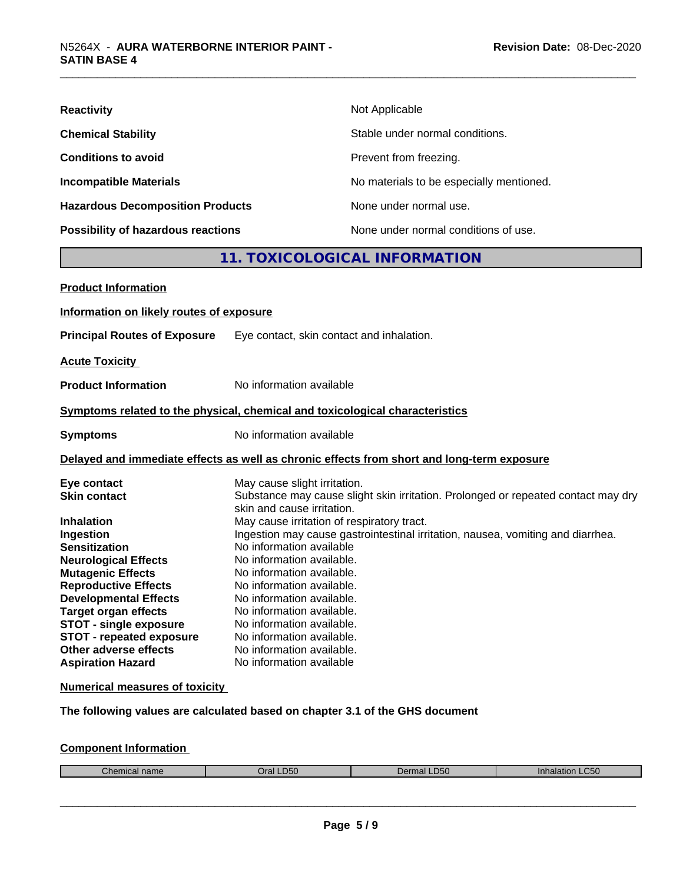| <b>Reactivity</b>                       | Not Applicable                           |
|-----------------------------------------|------------------------------------------|
| <b>Chemical Stability</b>               | Stable under normal conditions.          |
| <b>Conditions to avoid</b>              | Prevent from freezing.                   |
| <b>Incompatible Materials</b>           | No materials to be especially mentioned. |
| <b>Hazardous Decomposition Products</b> | None under normal use.                   |
| Possibility of hazardous reactions      | None under normal conditions of use.     |

## **11. TOXICOLOGICAL INFORMATION**

| <b>Product Information</b>                                                                                                                                                                                                                                                                                                                         |                                                                                                                                                                                                                                                                                                                                                                                                                                                                                                                                                      |  |
|----------------------------------------------------------------------------------------------------------------------------------------------------------------------------------------------------------------------------------------------------------------------------------------------------------------------------------------------------|------------------------------------------------------------------------------------------------------------------------------------------------------------------------------------------------------------------------------------------------------------------------------------------------------------------------------------------------------------------------------------------------------------------------------------------------------------------------------------------------------------------------------------------------------|--|
| Information on likely routes of exposure                                                                                                                                                                                                                                                                                                           |                                                                                                                                                                                                                                                                                                                                                                                                                                                                                                                                                      |  |
| <b>Principal Routes of Exposure</b>                                                                                                                                                                                                                                                                                                                | Eye contact, skin contact and inhalation.                                                                                                                                                                                                                                                                                                                                                                                                                                                                                                            |  |
| <b>Acute Toxicity</b>                                                                                                                                                                                                                                                                                                                              |                                                                                                                                                                                                                                                                                                                                                                                                                                                                                                                                                      |  |
| <b>Product Information</b>                                                                                                                                                                                                                                                                                                                         | No information available                                                                                                                                                                                                                                                                                                                                                                                                                                                                                                                             |  |
|                                                                                                                                                                                                                                                                                                                                                    | Symptoms related to the physical, chemical and toxicological characteristics                                                                                                                                                                                                                                                                                                                                                                                                                                                                         |  |
| <b>Symptoms</b>                                                                                                                                                                                                                                                                                                                                    | No information available                                                                                                                                                                                                                                                                                                                                                                                                                                                                                                                             |  |
|                                                                                                                                                                                                                                                                                                                                                    | Delayed and immediate effects as well as chronic effects from short and long-term exposure                                                                                                                                                                                                                                                                                                                                                                                                                                                           |  |
| Eye contact<br><b>Skin contact</b><br><b>Inhalation</b><br>Ingestion<br><b>Sensitization</b><br><b>Neurological Effects</b><br><b>Mutagenic Effects</b><br><b>Reproductive Effects</b><br><b>Developmental Effects</b><br><b>Target organ effects</b><br><b>STOT - single exposure</b><br><b>STOT - repeated exposure</b><br>Other adverse effects | May cause slight irritation.<br>Substance may cause slight skin irritation. Prolonged or repeated contact may dry<br>skin and cause irritation.<br>May cause irritation of respiratory tract.<br>Ingestion may cause gastrointestinal irritation, nausea, vomiting and diarrhea.<br>No information available<br>No information available.<br>No information available.<br>No information available.<br>No information available.<br>No information available.<br>No information available.<br>No information available.<br>No information available. |  |

#### **Numerical measures of toxicity**

**The following values are calculated based on chapter 3.1 of the GHS document**

#### **Component Information**

| $\sim$<br>:hemical<br>l name | <b>D50</b><br>$ r_{2} $ | $D^{\prime}$<br>DSU | C50<br>innaiai<br>. |
|------------------------------|-------------------------|---------------------|---------------------|
|                              |                         |                     |                     |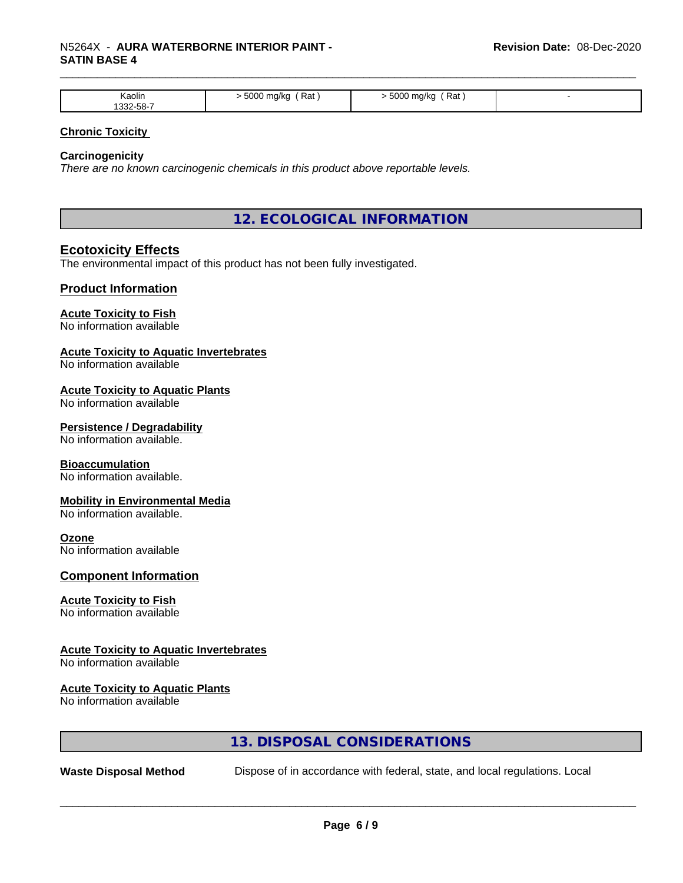## \_\_\_\_\_\_\_\_\_\_\_\_\_\_\_\_\_\_\_\_\_\_\_\_\_\_\_\_\_\_\_\_\_\_\_\_\_\_\_\_\_\_\_\_\_\_\_\_\_\_\_\_\_\_\_\_\_\_\_\_\_\_\_\_\_\_\_\_\_\_\_\_\_\_\_\_\_\_\_\_\_\_\_\_\_\_\_\_\_\_\_\_\_ N5264X - **AURA WATERBORNE INTERIOR PAINT - SATIN BASE 4**

| Kaolin<br>. აკ2-58-7 | Rat<br>5000<br>mg/kg | ' Rat<br>5000<br>ma/ko<br>$\cdot$ |  |
|----------------------|----------------------|-----------------------------------|--|

#### **Chronic Toxicity**

#### **Carcinogenicity**

*There are no known carcinogenic chemicals in this product above reportable levels.*

**12. ECOLOGICAL INFORMATION**

### **Ecotoxicity Effects**

The environmental impact of this product has not been fully investigated.

#### **Product Information**

#### **Acute Toxicity to Fish**

No information available

#### **Acute Toxicity to Aquatic Invertebrates**

No information available

#### **Acute Toxicity to Aquatic Plants**

No information available

#### **Persistence / Degradability**

No information available.

#### **Bioaccumulation**

No information available.

#### **Mobility in Environmental Media**

No information available.

#### **Ozone**

No information available

#### **Component Information**

#### **Acute Toxicity to Fish**

No information available

#### **Acute Toxicity to Aquatic Invertebrates**

No information available

#### **Acute Toxicity to Aquatic Plants**

No information available

## **13. DISPOSAL CONSIDERATIONS**

**Waste Disposal Method** Dispose of in accordance with federal, state, and local regulations. Local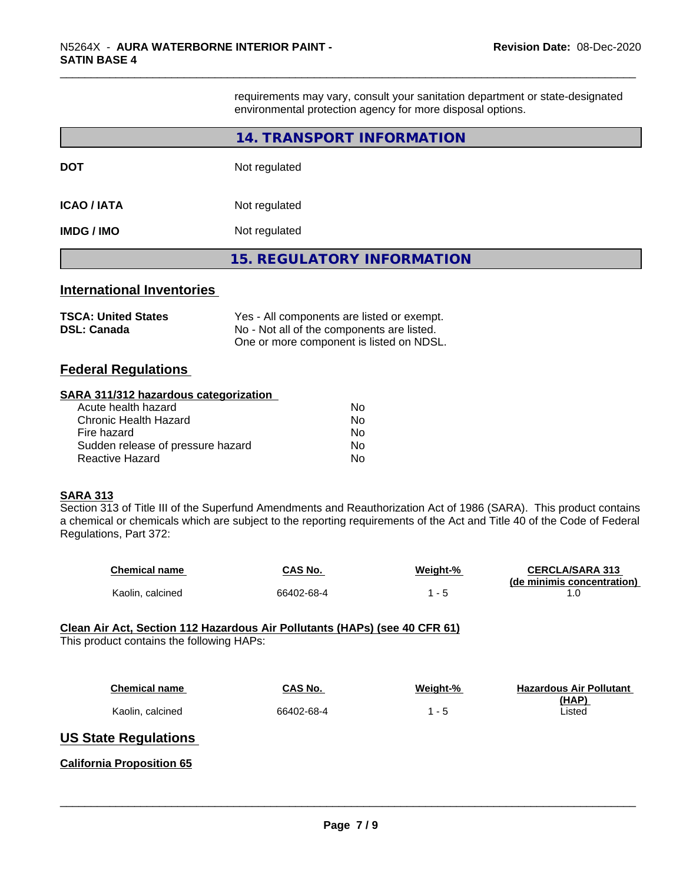requirements may vary, consult your sanitation department or state-designated environmental protection agency for more disposal options.

|                    | 14. TRANSPORT INFORMATION         |  |
|--------------------|-----------------------------------|--|
| <b>DOT</b>         | Not regulated                     |  |
| <b>ICAO / IATA</b> | Not regulated                     |  |
| <b>IMDG / IMO</b>  | Not regulated                     |  |
|                    | <b>15. REGULATORY INFORMATION</b> |  |

## **International Inventories**

| <b>TSCA: United States</b> | Yes - All components are listed or exempt. |
|----------------------------|--------------------------------------------|
| <b>DSL: Canada</b>         | No - Not all of the components are listed. |
|                            | One or more component is listed on NDSL.   |

### **Federal Regulations**

#### **SARA 311/312 hazardous categorization**

| No. |
|-----|
| Nο  |
| No. |
| Nο  |
| N٥  |
|     |

#### **SARA 313**

Section 313 of Title III of the Superfund Amendments and Reauthorization Act of 1986 (SARA). This product contains a chemical or chemicals which are subject to the reporting requirements of the Act and Title 40 of the Code of Federal Regulations, Part 372:

| <b>Chemical name</b> | CAS No.    | Weight-% | <b>CERCLA/SARA 313</b>     |
|----------------------|------------|----------|----------------------------|
|                      |            |          | (de minimis concentration) |
| Kaolin.<br>calcined  | 66402-68-4 |          |                            |

#### **Clean Air Act,Section 112 Hazardous Air Pollutants (HAPs) (see 40 CFR 61)**

This product contains the following HAPs:

| <b>Chemical name</b> | CAS No.    | Weight-% | <b>Hazardous Air Pollutant</b> |
|----------------------|------------|----------|--------------------------------|
|                      |            |          | (HAP)                          |
| Kaolin, calcined     | 66402-68-4 | 1 - 5    | ∟isted                         |

#### **US State Regulations**

#### **California Proposition 65**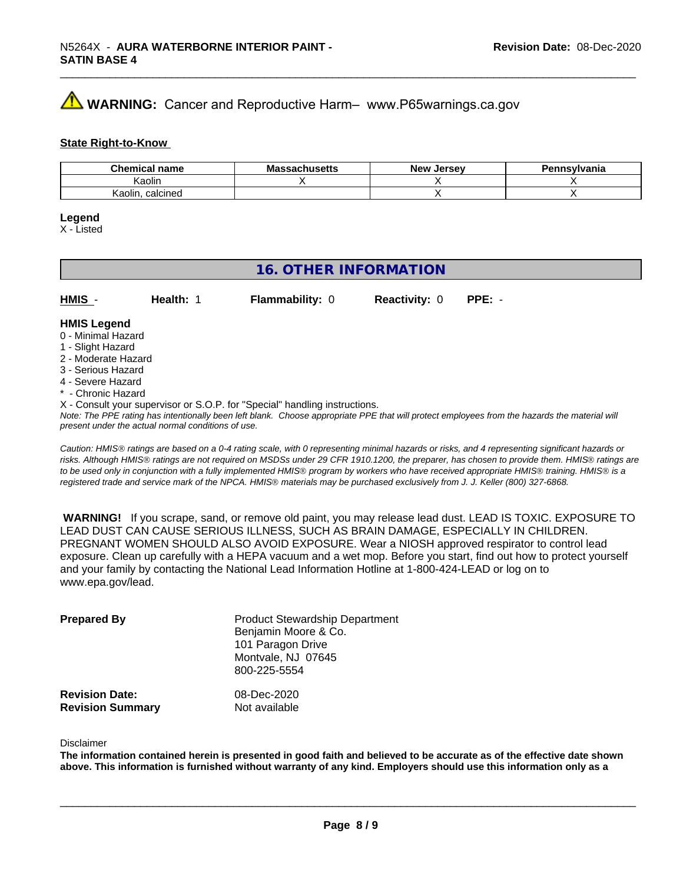## **WARNING:** Cancer and Reproductive Harm– www.P65warnings.ca.gov

#### **State Right-to-Know**

| Chamisa.<br>name<br>этнса<br>۱۳ اپ | www.c | Jersev<br>— Ne™ | <b>Insvlvania</b> |
|------------------------------------|-------|-----------------|-------------------|
| Kaolir                             |       |                 |                   |
| calcined<br>Kaolir                 |       |                 |                   |

#### **Legend**

X - Listed

## **16. OTHER INFORMATION**

| HMIS                                                 | Health: | <b>Flammability: 0</b> | <b>Reactivity: 0</b> | $PPE: -$ |  |
|------------------------------------------------------|---------|------------------------|----------------------|----------|--|
| <b>HMIS Legend</b><br>$\bigcap$ $M(x)$ and $\bigcup$ |         |                        |                      |          |  |

- 0 Minimal Hazard
- 1 Slight Hazard
- 2 Moderate Hazard
- 3 Serious Hazard
- 4 Severe Hazard
- \* Chronic Hazard
- X Consult your supervisor or S.O.P. for "Special" handling instructions.

*Note: The PPE rating has intentionally been left blank. Choose appropriate PPE that will protect employees from the hazards the material will present under the actual normal conditions of use.*

*Caution: HMISÒ ratings are based on a 0-4 rating scale, with 0 representing minimal hazards or risks, and 4 representing significant hazards or risks. Although HMISÒ ratings are not required on MSDSs under 29 CFR 1910.1200, the preparer, has chosen to provide them. HMISÒ ratings are to be used only in conjunction with a fully implemented HMISÒ program by workers who have received appropriate HMISÒ training. HMISÒ is a registered trade and service mark of the NPCA. HMISÒ materials may be purchased exclusively from J. J. Keller (800) 327-6868.*

 **WARNING!** If you scrape, sand, or remove old paint, you may release lead dust. LEAD IS TOXIC. EXPOSURE TO LEAD DUST CAN CAUSE SERIOUS ILLNESS, SUCH AS BRAIN DAMAGE, ESPECIALLY IN CHILDREN. PREGNANT WOMEN SHOULD ALSO AVOID EXPOSURE.Wear a NIOSH approved respirator to control lead exposure. Clean up carefully with a HEPA vacuum and a wet mop. Before you start, find out how to protect yourself and your family by contacting the National Lead Information Hotline at 1-800-424-LEAD or log on to www.epa.gov/lead.

| <b>Prepared By</b>                               | <b>Product Stewardship Department</b><br>Benjamin Moore & Co.<br>101 Paragon Drive<br>Montvale, NJ 07645<br>800-225-5554 |  |
|--------------------------------------------------|--------------------------------------------------------------------------------------------------------------------------|--|
| <b>Revision Date:</b><br><b>Revision Summary</b> | 08-Dec-2020<br>Not available                                                                                             |  |

#### Disclaimer

The information contained herein is presented in good faith and believed to be accurate as of the effective date shown above. This information is furnished without warranty of any kind. Employers should use this information only as a